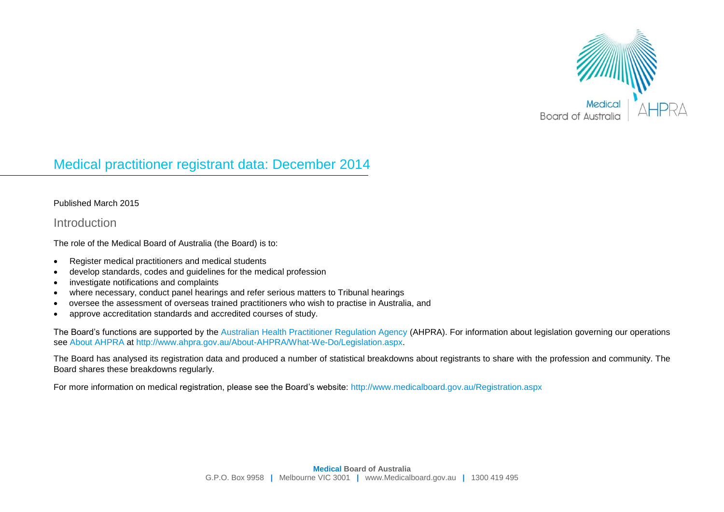

# Medical practitioner registrant data: December 2014

#### Published March 2015

#### Introduction

The role of the Medical Board of Australia (the Board) is to:

- Register medical practitioners and medical students
- develop standards, codes and guidelines for the medical profession
- investigate notifications and complaints
- where necessary, conduct panel hearings and refer serious matters to Tribunal hearings
- oversee the assessment of overseas trained practitioners who wish to practise in Australia, and
- approve accreditation standards and accredited courses of study.

The Board's functions are supported by the [Australian Health Practitioner Regulation Agency](http://www.ahpra.gov.au/) (AHPRA). For information about legislation governing our operations see [About AHPRA](http://www.ahpra.gov.au/About-AHPRA/What-We-Do/Legislation.aspx) at [http://www.ahpra.gov.au/About-AHPRA/What-We-Do/Legislation.aspx.](http://www.ahpra.gov.au/About-AHPRA/What-We-Do/Legislation.aspx)

The Board has analysed its registration data and produced a number of statistical breakdowns about registrants to share with the profession and community. The Board shares these breakdowns regularly.

For more information on medical registration, please see the Board's website:<http://www.medicalboard.gov.au/Registration.aspx>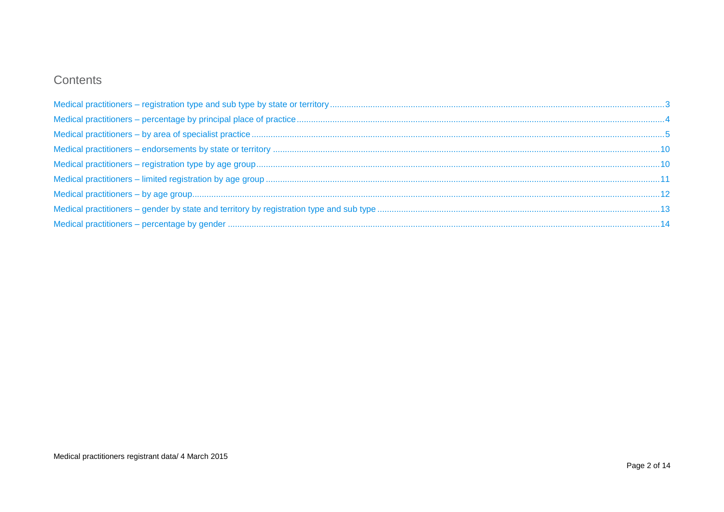# Contents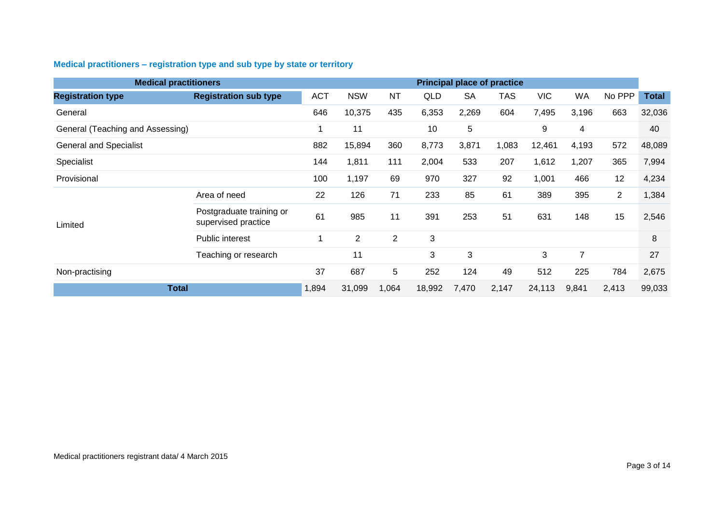<span id="page-2-0"></span>

| Medical practitioners – registration type and sub type by state or territory |
|------------------------------------------------------------------------------|
|------------------------------------------------------------------------------|

| <b>Medical practitioners</b>     |                                                 |            |                |                |        |              | <b>Principal place of practice</b> |            |                |                |              |
|----------------------------------|-------------------------------------------------|------------|----------------|----------------|--------|--------------|------------------------------------|------------|----------------|----------------|--------------|
| <b>Registration type</b>         | <b>Registration sub type</b>                    | <b>ACT</b> | <b>NSW</b>     | <b>NT</b>      | QLD    | <b>SA</b>    | <b>TAS</b>                         | <b>VIC</b> | WA             | No PPP         | <b>Total</b> |
| General                          |                                                 | 646        | 10,375         | 435            | 6,353  | 2,269        | 604                                | 7,495      | 3,196          | 663            | 32,036       |
| General (Teaching and Assessing) |                                                 |            | 11             |                | 10     | 5            |                                    | 9          | 4              |                | 40           |
| <b>General and Specialist</b>    |                                                 | 882        | 15,894         | 360            | 8,773  | 3,871        | 1,083                              | 12,461     | 4,193          | 572            | 48,089       |
| Specialist                       |                                                 | 144        | 1,811          | 111            | 2,004  | 533          | 207                                | 1,612      | 1,207          | 365            | 7,994        |
| Provisional                      |                                                 | 100        | 1,197          | 69             | 970    | 327          | 92                                 | 1,001      | 466            | 12             | 4,234        |
|                                  | Area of need                                    | 22         | 126            | 71             | 233    | 85           | 61                                 | 389        | 395            | $\overline{2}$ | 1,384        |
| Limited                          | Postgraduate training or<br>supervised practice | 61         | 985            | 11             | 391    | 253          | 51                                 | 631        | 148            | 15             | 2,546        |
|                                  | <b>Public interest</b>                          | -1         | $\overline{2}$ | $\overline{2}$ | 3      |              |                                    |            |                |                | 8            |
|                                  | Teaching or research                            |            | 11             |                | 3      | $\mathbf{3}$ |                                    | 3          | $\overline{7}$ |                | 27           |
| Non-practising                   |                                                 | 37         | 687            | 5              | 252    | 124          | 49                                 | 512        | 225            | 784            | 2,675        |
| <b>Total</b>                     |                                                 |            | 31,099         | 1,064          | 18,992 | 7,470        | 2,147                              | 24,113     | 9,841          | 2,413          | 99,033       |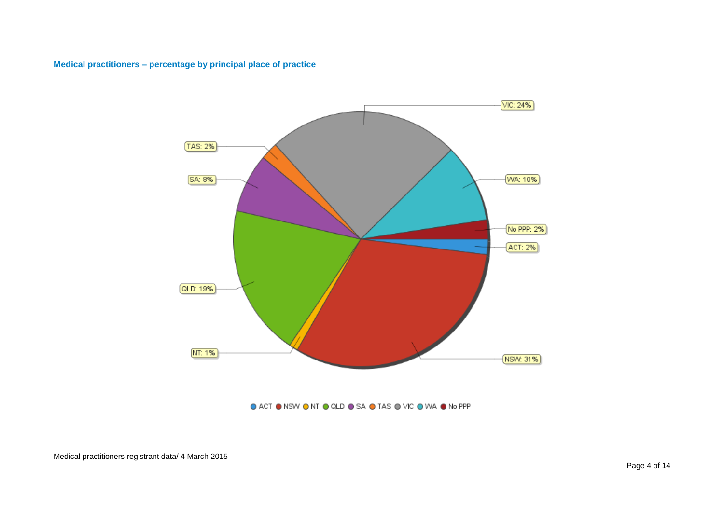#### <span id="page-3-0"></span>**Medical practitioners – percentage by principal place of practice**



#### ● ACT ● NSW ● NT ● QLD ● SA ● TAS ● VIC ● WA ● No PPP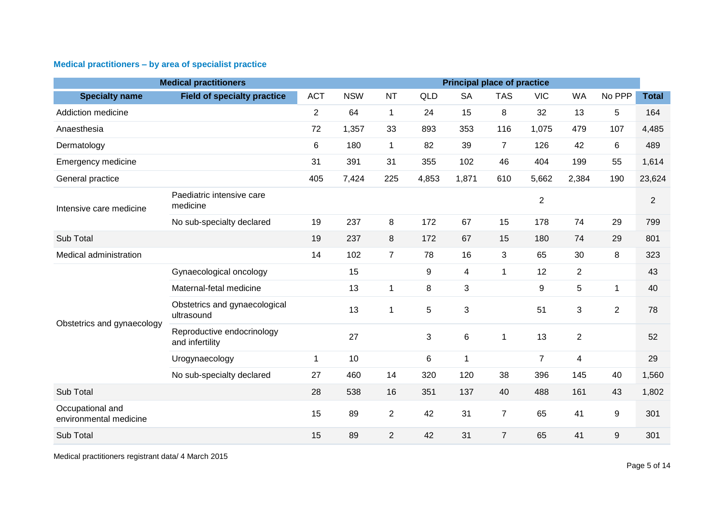# <span id="page-4-0"></span>**Medical practitioners – by area of specialist practice**

|                                            | <b>Medical practitioners</b>                  | <b>Principal place of practice</b> |            |                |                |                 |                |                |                |                |                |  |  |
|--------------------------------------------|-----------------------------------------------|------------------------------------|------------|----------------|----------------|-----------------|----------------|----------------|----------------|----------------|----------------|--|--|
| <b>Specialty name</b>                      | <b>Field of specialty practice</b>            | <b>ACT</b>                         | <b>NSW</b> | <b>NT</b>      | <b>QLD</b>     | <b>SA</b>       | <b>TAS</b>     | <b>VIC</b>     | <b>WA</b>      | No PPP         | <b>Total</b>   |  |  |
| Addiction medicine                         |                                               | $\overline{2}$                     | 64         | $\mathbf{1}$   | 24             | 15              | 8              | 32             | 13             | 5              | 164            |  |  |
| Anaesthesia                                |                                               | 72                                 | 1,357      | 33             | 893            | 353             | 116            | 1,075          | 479            | 107            | 4,485          |  |  |
| Dermatology                                |                                               | 6                                  | 180        | $\mathbf{1}$   | 82             | 39              | $\overline{7}$ | 126            | 42             | 6              | 489            |  |  |
| Emergency medicine                         |                                               | 31                                 | 391        | 31             | 355            | 102             | 46             | 404            | 199            | 55             | 1,614          |  |  |
| General practice                           |                                               | 405                                | 7,424      | 225            | 4,853          | 1,871           | 610            | 5,662          | 2,384          | 190            | 23,624         |  |  |
| Intensive care medicine                    | Paediatric intensive care<br>medicine         |                                    |            |                |                |                 |                | $\sqrt{2}$     |                |                | $\overline{2}$ |  |  |
|                                            | No sub-specialty declared                     | 19                                 | 237        | 8              | 172            | 67              | 15             | 178            | 74             | 29             | 799            |  |  |
| Sub Total                                  |                                               | 19                                 | 237        | 8              | 172            | 67              | 15             | 180            | 74             | 29             | 801            |  |  |
| Medical administration                     |                                               | 14                                 | 102        | $\overline{7}$ | 78             | 16              | 3              | 65             | 30             | 8              | 323            |  |  |
|                                            | Gynaecological oncology                       |                                    | 15         |                | $9\,$          | $\overline{4}$  | $\mathbf{1}$   | 12             | $\overline{2}$ |                | 43             |  |  |
|                                            | Maternal-fetal medicine                       |                                    | 13         | 1              | 8              | 3               |                | 9              | 5              | 1              | 40             |  |  |
| Obstetrics and gynaecology                 | Obstetrics and gynaecological<br>ultrasound   |                                    | 13         | $\mathbf{1}$   | $\overline{5}$ | $\mathbf{3}$    |                | 51             | 3              | $\overline{2}$ | 78             |  |  |
|                                            | Reproductive endocrinology<br>and infertility |                                    | 27         |                | 3              | $6\phantom{1}6$ | $\mathbf 1$    | 13             | $\overline{2}$ |                | 52             |  |  |
|                                            | Urogynaecology                                | $\mathbf{1}$                       | 10         |                | $\,6\,$        | 1               |                | $\overline{7}$ | 4              |                | 29             |  |  |
|                                            | No sub-specialty declared                     | 27                                 | 460        | 14             | 320            | 120             | 38             | 396            | 145            | 40             | 1,560          |  |  |
| Sub Total                                  |                                               | 28                                 | 538        | 16             | 351            | 137             | 40             | 488            | 161            | 43             | 1,802          |  |  |
| Occupational and<br>environmental medicine |                                               | 15                                 | 89         | $\overline{2}$ | 42             | 31              | $\overline{7}$ | 65             | 41             | 9              | 301            |  |  |
| Sub Total                                  |                                               | 15                                 | 89         | $\overline{2}$ | 42             | 31              | $\overline{7}$ | 65             | 41             | 9              | 301            |  |  |

Medical practitioners registrant data/ 4 March 2015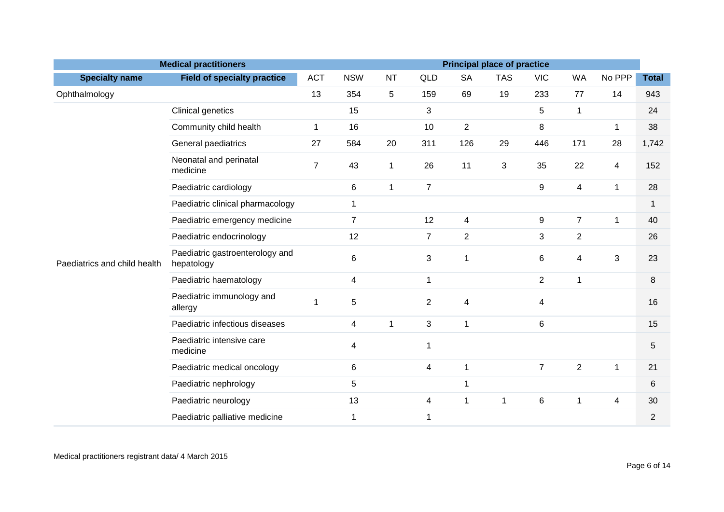|                              | <b>Medical practitioners</b>                  | <b>Principal place of practice</b> |                |              |                |                |             |                  |                |                         |                |  |
|------------------------------|-----------------------------------------------|------------------------------------|----------------|--------------|----------------|----------------|-------------|------------------|----------------|-------------------------|----------------|--|
| <b>Specialty name</b>        | <b>Field of specialty practice</b>            | <b>ACT</b>                         | <b>NSW</b>     | <b>NT</b>    | QLD            | <b>SA</b>      | <b>TAS</b>  | <b>VIC</b>       | <b>WA</b>      | No PPP                  | <b>Total</b>   |  |
| Ophthalmology                |                                               | 13                                 | 354            | 5            | 159            | 69             | 19          | 233              | 77             | 14                      | 943            |  |
|                              | Clinical genetics                             |                                    | 15             |              | 3              |                |             | 5                | $\mathbf{1}$   |                         | 24             |  |
|                              | Community child health                        | $\mathbf{1}$                       | 16             |              | 10             | $\overline{c}$ |             | 8                |                | $\mathbf 1$             | 38             |  |
|                              | General paediatrics                           | 27                                 | 584            | 20           | 311            | 126            | 29          | 446              | 171            | 28                      | 1,742          |  |
|                              | Neonatal and perinatal<br>medicine            | $\overline{7}$                     | 43             | 1            | 26             | 11             | 3           | 35               | 22             | $\overline{\mathbf{4}}$ | 152            |  |
|                              | Paediatric cardiology                         |                                    | 6              | $\mathbf{1}$ | $\overline{7}$ |                |             | 9                | 4              | $\mathbf{1}$            | 28             |  |
|                              | Paediatric clinical pharmacology              |                                    | $\mathbf 1$    |              |                |                |             |                  |                |                         | $\mathbf{1}$   |  |
|                              | Paediatric emergency medicine                 |                                    | $\overline{7}$ |              | 12             | $\overline{4}$ |             | $\boldsymbol{9}$ | $\overline{7}$ | $\mathbf{1}$            | 40             |  |
|                              | Paediatric endocrinology                      |                                    | 12             |              | $\overline{7}$ | $\overline{2}$ |             | 3                | $\overline{2}$ |                         | 26             |  |
| Paediatrics and child health | Paediatric gastroenterology and<br>hepatology |                                    | 6              |              | $\mathbf{3}$   | 1              |             | 6                | 4              | 3                       | 23             |  |
|                              | Paediatric haematology                        |                                    | 4              |              | $\mathbf 1$    |                |             | $\overline{2}$   | $\mathbf 1$    |                         | 8              |  |
|                              | Paediatric immunology and<br>allergy          |                                    | $\mathbf 5$    |              | $\overline{2}$ | 4              |             | 4                |                |                         | 16             |  |
|                              | Paediatric infectious diseases                |                                    | 4              | $\mathbf{1}$ | $\mathbf{3}$   | $\mathbf{1}$   |             | 6                |                |                         | 15             |  |
|                              | Paediatric intensive care<br>medicine         |                                    | 4              |              | $\mathbf 1$    |                |             |                  |                |                         | 5              |  |
|                              | Paediatric medical oncology                   |                                    | 6              |              | $\overline{4}$ | $\mathbf{1}$   |             | $\overline{7}$   | $\overline{2}$ | $\mathbf{1}$            | 21             |  |
|                              | Paediatric nephrology                         |                                    | 5              |              |                | 1              |             |                  |                |                         | 6              |  |
|                              | Paediatric neurology                          |                                    | 13             |              | $\overline{4}$ | 1              | $\mathbf 1$ | $\,6$            | 1              | 4                       | 30             |  |
|                              | Paediatric palliative medicine                |                                    | $\mathbf 1$    |              | $\mathbf 1$    |                |             |                  |                |                         | $\overline{2}$ |  |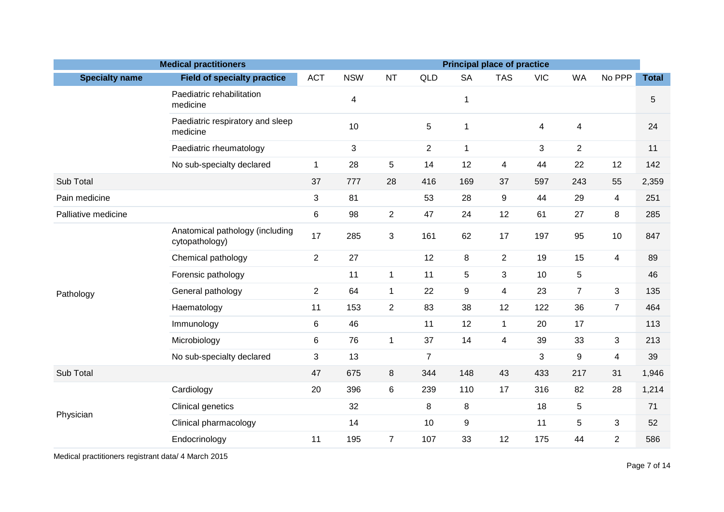| <b>Medical practitioners</b><br><b>Principal place of practice</b> |                                                   |                |            |                |                |                  |                |            |                |                |              |
|--------------------------------------------------------------------|---------------------------------------------------|----------------|------------|----------------|----------------|------------------|----------------|------------|----------------|----------------|--------------|
| <b>Specialty name</b>                                              | <b>Field of specialty practice</b>                | <b>ACT</b>     | <b>NSW</b> | <b>NT</b>      | QLD            | <b>SA</b>        | <b>TAS</b>     | <b>VIC</b> | <b>WA</b>      | No PPP         | <b>Total</b> |
|                                                                    | Paediatric rehabilitation<br>medicine             |                | 4          |                |                | $\mathbf{1}$     |                |            |                |                | $\sqrt{5}$   |
|                                                                    | Paediatric respiratory and sleep<br>medicine      |                | 10         |                | $\overline{5}$ | $\mathbf{1}$     |                | 4          | 4              |                | 24           |
|                                                                    | Paediatric rheumatology                           |                | 3          |                | $\overline{2}$ | $\mathbf{1}$     |                | 3          | $\overline{2}$ |                | 11           |
|                                                                    | No sub-specialty declared                         | $\mathbf{1}$   | 28         | 5              | 14             | 12               | 4              | 44         | 22             | 12             | 142          |
| Sub Total                                                          |                                                   | 37             | 777        | 28             | 416            | 169              | 37             | 597        | 243            | 55             | 2,359        |
| Pain medicine                                                      |                                                   | 3              | 81         |                | 53             | 28               | 9              | 44         | 29             | $\overline{4}$ | 251          |
| Palliative medicine                                                |                                                   | 6              | 98         | $\overline{2}$ | 47             | 24               | 12             | 61         | 27             | 8              | 285          |
|                                                                    | Anatomical pathology (including<br>cytopathology) | 17             | 285        | 3              | 161            | 62               | 17             | 197        | 95             | 10             | 847          |
|                                                                    | Chemical pathology                                | $\overline{2}$ | 27         |                | 12             | 8                | $\overline{2}$ | 19         | 15             | $\overline{4}$ | 89           |
|                                                                    | Forensic pathology                                |                | 11         | $\mathbf{1}$   | 11             | 5                | 3              | 10         | $\mathbf 5$    |                | 46           |
| Pathology                                                          | General pathology                                 | $\overline{2}$ | 64         | $\mathbf{1}$   | 22             | $\boldsymbol{9}$ | $\overline{4}$ | 23         | $\overline{7}$ | 3              | 135          |
|                                                                    | Haematology                                       | 11             | 153        | $\overline{2}$ | 83             | 38               | 12             | 122        | 36             | $\overline{7}$ | 464          |
|                                                                    | Immunology                                        | 6              | 46         |                | 11             | 12               | $\mathbf{1}$   | 20         | 17             |                | 113          |
|                                                                    | Microbiology                                      | 6              | 76         | $\mathbf{1}$   | 37             | 14               | $\overline{4}$ | 39         | 33             | 3              | 213          |
|                                                                    | No sub-specialty declared                         | 3              | 13         |                | $\overline{7}$ |                  |                | 3          | 9              | $\overline{4}$ | 39           |
| Sub Total                                                          |                                                   | 47             | 675        | 8              | 344            | 148              | 43             | 433        | 217            | 31             | 1,946        |
|                                                                    | Cardiology                                        | 20             | 396        | 6              | 239            | 110              | 17             | 316        | 82             | 28             | 1,214        |
|                                                                    | <b>Clinical genetics</b>                          |                | 32         |                | 8              | $\, 8$           |                | 18         | 5              |                | 71           |
| Physician                                                          | Clinical pharmacology                             |                | 14         |                | 10             | 9                |                | 11         | 5              | 3              | 52           |
|                                                                    | Endocrinology                                     | 11             | 195        | $\overline{7}$ | 107            | 33               | 12             | 175        | 44             | $\overline{2}$ | 586          |

Medical practitioners registrant data/ 4 March 2015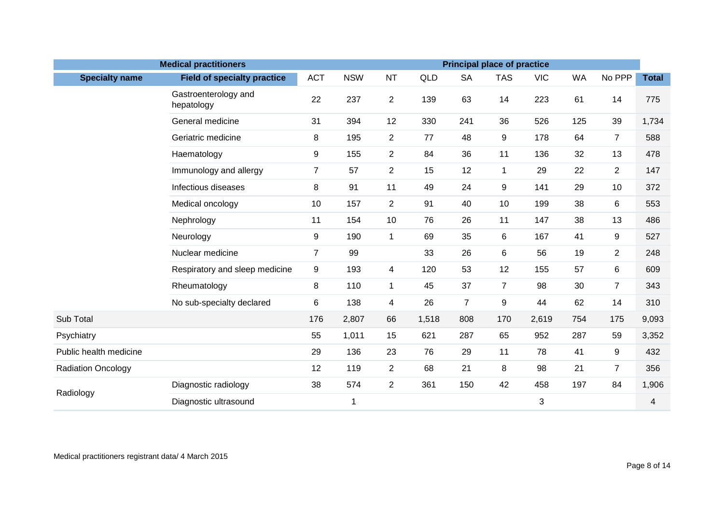|                           | <b>Medical practitioners</b>       | <b>Principal place of practice</b> |            |                |            |                |                |                           |           |                |              |  |
|---------------------------|------------------------------------|------------------------------------|------------|----------------|------------|----------------|----------------|---------------------------|-----------|----------------|--------------|--|
| <b>Specialty name</b>     | <b>Field of specialty practice</b> | <b>ACT</b>                         | <b>NSW</b> | <b>NT</b>      | <b>QLD</b> | <b>SA</b>      | <b>TAS</b>     | <b>VIC</b>                | <b>WA</b> | No PPP         | <b>Total</b> |  |
|                           | Gastroenterology and<br>hepatology | 22                                 | 237        | $\overline{2}$ | 139        | 63             | 14             | 223                       | 61        | 14             | 775          |  |
|                           | General medicine                   | 31                                 | 394        | 12             | 330        | 241            | 36             | 526                       | 125       | 39             | 1,734        |  |
|                           | Geriatric medicine                 | 8                                  | 195        | $\overline{2}$ | 77         | 48             | 9              | 178                       | 64        | $\overline{7}$ | 588          |  |
|                           | Haematology                        | 9                                  | 155        | $\overline{2}$ | 84         | 36             | 11             | 136                       | 32        | 13             | 478          |  |
|                           | Immunology and allergy             | $\overline{7}$                     | 57         | $\overline{2}$ | 15         | 12             | 1              | 29                        | 22        | $\overline{2}$ | 147          |  |
|                           | Infectious diseases                | 8                                  | 91         | 11             | 49         | 24             | 9              | 141                       | 29        | 10             | 372          |  |
|                           | Medical oncology                   | 10                                 | 157        | $\overline{2}$ | 91         | 40             | 10             | 199                       | 38        | 6              | 553          |  |
|                           | Nephrology                         | 11                                 | 154        | 10             | 76         | 26             | 11             | 147                       | 38        | 13             | 486          |  |
|                           | Neurology                          | 9                                  | 190        | $\mathbf{1}$   | 69         | 35             | 6              | 167                       | 41        | 9              | 527          |  |
|                           | Nuclear medicine                   | $\overline{7}$                     | 99         |                | 33         | 26             | 6              | 56                        | 19        | $\overline{2}$ | 248          |  |
|                           | Respiratory and sleep medicine     | 9                                  | 193        | 4              | 120        | 53             | 12             | 155                       | 57        | 6              | 609          |  |
|                           | Rheumatology                       | 8                                  | 110        | $\mathbf{1}$   | 45         | 37             | $\overline{7}$ | 98                        | 30        | $\overline{7}$ | 343          |  |
|                           | No sub-specialty declared          | 6                                  | 138        | 4              | 26         | $\overline{7}$ | 9              | 44                        | 62        | 14             | 310          |  |
| Sub Total                 |                                    | 176                                | 2,807      | 66             | 1,518      | 808            | 170            | 2,619                     | 754       | 175            | 9,093        |  |
| Psychiatry                |                                    | 55                                 | 1,011      | 15             | 621        | 287            | 65             | 952                       | 287       | 59             | 3,352        |  |
| Public health medicine    |                                    | 29                                 | 136        | 23             | 76         | 29             | 11             | 78                        | 41        | 9              | 432          |  |
| <b>Radiation Oncology</b> |                                    | 12                                 | 119        | $\overline{2}$ | 68         | 21             | 8              | 98                        | 21        | 7              | 356          |  |
|                           | Diagnostic radiology               | 38                                 | 574        | $\overline{2}$ | 361        | 150            | 42             | 458                       | 197       | 84             | 1,906        |  |
| Radiology                 | Diagnostic ultrasound              |                                    | 1          |                |            |                |                | $\ensuremath{\mathsf{3}}$ |           |                | 4            |  |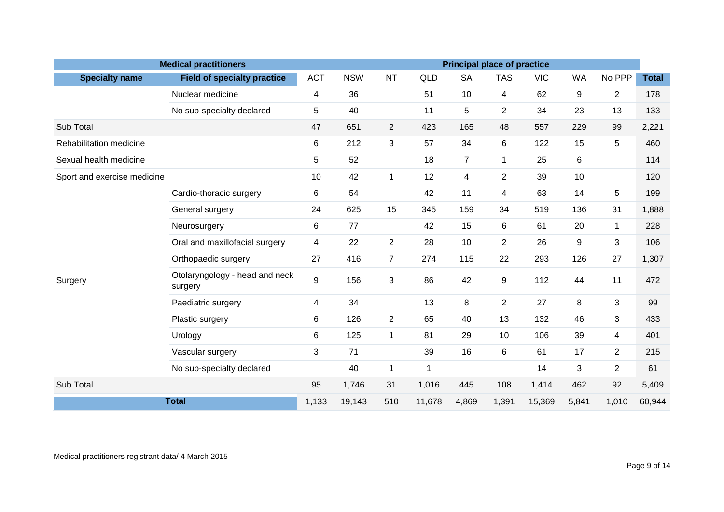|                             | <b>Medical practitioners</b>              |            |            |                |             |                | <b>Principal place of practice</b> |            |                  |                |              |
|-----------------------------|-------------------------------------------|------------|------------|----------------|-------------|----------------|------------------------------------|------------|------------------|----------------|--------------|
| <b>Specialty name</b>       | <b>Field of specialty practice</b>        | <b>ACT</b> | <b>NSW</b> | <b>NT</b>      | <b>QLD</b>  | <b>SA</b>      | <b>TAS</b>                         | <b>VIC</b> | <b>WA</b>        | No PPP         | <b>Total</b> |
|                             | Nuclear medicine                          | 4          | 36         |                | 51          | 10             | $\overline{4}$                     | 62         | $\boldsymbol{9}$ | $\overline{2}$ | 178          |
|                             | No sub-specialty declared                 | 5          | 40         |                | 11          | 5              | $\overline{2}$                     | 34         | 23               | 13             | 133          |
| Sub Total                   |                                           | 47         | 651        | $\overline{2}$ | 423         | 165            | 48                                 | 557        | 229              | 99             | 2,221        |
| Rehabilitation medicine     |                                           | 6          | 212        | 3              | 57          | 34             | 6                                  | 122        | 15               | 5              | 460          |
| Sexual health medicine      |                                           | 5          | 52         |                | 18          | $\overline{7}$ | $\mathbf{1}$                       | 25         | 6                |                | 114          |
| Sport and exercise medicine |                                           | 10         | 42         | $\mathbf{1}$   | 12          | 4              | $\overline{2}$                     | 39         | 10               |                | 120          |
|                             | Cardio-thoracic surgery                   | 6          | 54         |                | 42          | 11             | $\overline{4}$                     | 63         | 14               | 5              | 199          |
|                             | General surgery                           | 24         | 625        | 15             | 345         | 159            | 34                                 | 519        | 136              | 31             | 1,888        |
|                             | Neurosurgery                              | 6          | 77         |                | 42          | 15             | 6                                  | 61         | 20               | $\mathbf{1}$   | 228          |
|                             | Oral and maxillofacial surgery            | 4          | 22         | $\overline{2}$ | 28          | 10             | $\overline{2}$                     | 26         | 9                | 3              | 106          |
|                             | Orthopaedic surgery                       | 27         | 416        | $\overline{7}$ | 274         | 115            | 22                                 | 293        | 126              | 27             | 1,307        |
| Surgery                     | Otolaryngology - head and neck<br>surgery | 9          | 156        | 3              | 86          | 42             | 9                                  | 112        | 44               | 11             | 472          |
|                             | Paediatric surgery                        | 4          | 34         |                | 13          | 8              | $\overline{2}$                     | 27         | 8                | 3              | 99           |
|                             | Plastic surgery                           | 6          | 126        | $\overline{2}$ | 65          | 40             | 13                                 | 132        | 46               | 3              | 433          |
|                             | Urology                                   | 6          | 125        | $\mathbf{1}$   | 81          | 29             | 10                                 | 106        | 39               | 4              | 401          |
|                             | Vascular surgery                          | 3          | 71         |                | 39          | 16             | 6                                  | 61         | 17               | $\overline{2}$ | 215          |
|                             | No sub-specialty declared                 |            | 40         | $\mathbf{1}$   | $\mathbf 1$ |                |                                    | 14         | 3                | $\overline{2}$ | 61           |
| Sub Total                   |                                           |            | 1,746      | 31             | 1,016       | 445            | 108                                | 1,414      | 462              | 92             | 5,409        |
| <b>Total</b>                |                                           |            | 19,143     | 510            | 11,678      | 4,869          | 1,391                              | 15,369     | 5,841            | 1,010          | 60,944       |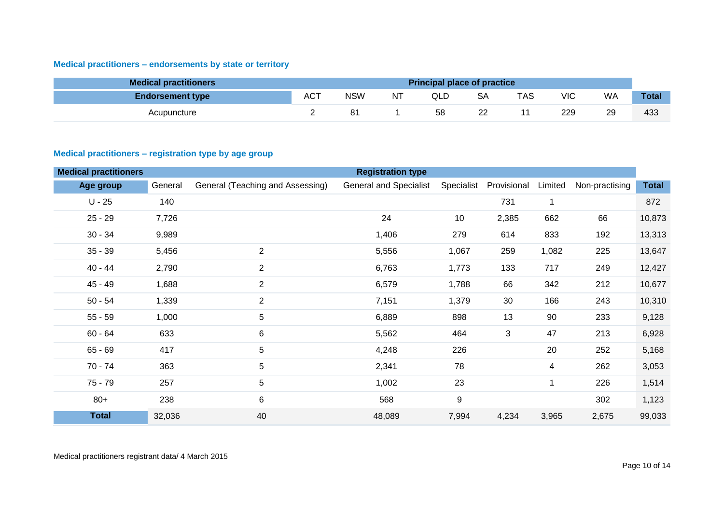# <span id="page-9-0"></span>**Medical practitioners – endorsements by state or territory**

| <b>Medical practitioners</b> | <b>Principal place of practice</b> |     |    |     |         |     |     |    |              |  |
|------------------------------|------------------------------------|-----|----|-----|---------|-----|-----|----|--------------|--|
| <b>Endorsement type</b>      | <b>ACT</b>                         | NSW | NT | QLD | SА      | TAS | VIC | WA | <b>Total</b> |  |
| Acupuncture                  |                                    | 8.  |    | 58  | ົ<br>∠∠ |     | 229 | 29 | 433          |  |

#### <span id="page-9-1"></span>**Medical practitioners – registration type by age group**

| <b>Medical practitioners</b> |         |                                  | <b>Registration type</b>      |                  |             |         |                |              |
|------------------------------|---------|----------------------------------|-------------------------------|------------------|-------------|---------|----------------|--------------|
| Age group                    | General | General (Teaching and Assessing) | <b>General and Specialist</b> | Specialist       | Provisional | Limited | Non-practising | <b>Total</b> |
| $U - 25$                     | 140     |                                  |                               |                  | 731         | 1       |                | 872          |
| $25 - 29$                    | 7,726   |                                  | 24                            | 10               | 2,385       | 662     | 66             | 10,873       |
| $30 - 34$                    | 9,989   |                                  | 1,406                         | 279              | 614         | 833     | 192            | 13,313       |
| $35 - 39$                    | 5,456   | $\overline{2}$                   | 5,556                         | 1,067            | 259         | 1,082   | 225            | 13,647       |
| $40 - 44$                    | 2,790   | $\overline{2}$                   | 6,763                         | 1,773            | 133         | 717     | 249            | 12,427       |
| $45 - 49$                    | 1,688   | $\overline{2}$                   | 6,579                         | 1,788            | 66          | 342     | 212            | 10,677       |
| $50 - 54$                    | 1,339   | $\overline{2}$                   | 7,151                         | 1,379            | 30          | 166     | 243            | 10,310       |
| $55 - 59$                    | 1,000   | 5                                | 6,889                         | 898              | 13          | 90      | 233            | 9,128        |
| $60 - 64$                    | 633     | 6                                | 5,562                         | 464              | 3           | 47      | 213            | 6,928        |
| $65 - 69$                    | 417     | 5                                | 4,248                         | 226              |             | 20      | 252            | 5,168        |
| $70 - 74$                    | 363     | 5                                | 2,341                         | 78               |             | 4       | 262            | 3,053        |
| $75 - 79$                    | 257     | 5                                | 1,002                         | 23               |             | 1       | 226            | 1,514        |
| $80+$                        | 238     | $\,6\,$                          | 568                           | $\boldsymbol{9}$ |             |         | 302            | 1,123        |
| <b>Total</b>                 | 32,036  | 40                               | 48,089                        | 7,994            | 4,234       | 3,965   | 2,675          | 99,033       |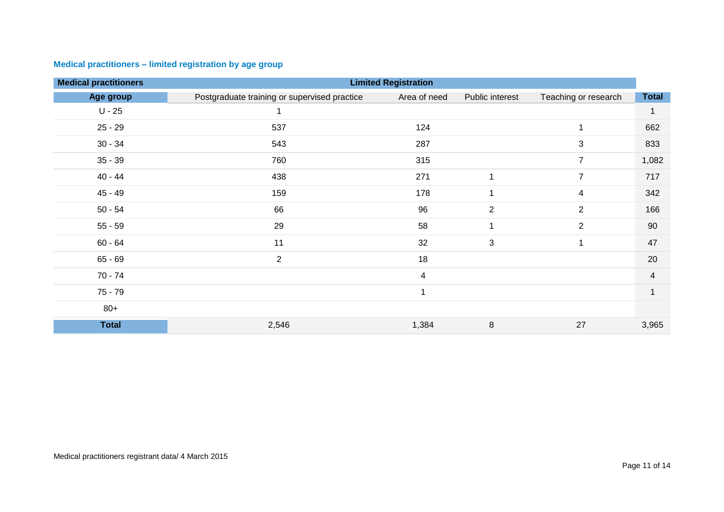| <b>Medical practitioners</b> |                                              | <b>Limited Registration</b> |                 |                      |                |  |  |  |  |  |  |
|------------------------------|----------------------------------------------|-----------------------------|-----------------|----------------------|----------------|--|--|--|--|--|--|
| Age group                    | Postgraduate training or supervised practice | Area of need                | Public interest | Teaching or research | <b>Total</b>   |  |  |  |  |  |  |
| $U - 25$                     | 1                                            |                             |                 |                      |                |  |  |  |  |  |  |
| $25 - 29$                    | 537                                          | 124                         |                 |                      | 662            |  |  |  |  |  |  |
| $30 - 34$                    | 543                                          | 287                         |                 | 3                    | 833            |  |  |  |  |  |  |
| $35 - 39$                    | 760                                          | 315                         |                 | $\overline{7}$       | 1,082          |  |  |  |  |  |  |
| $40 - 44$                    | 438                                          | 271                         | 1               | $\overline{7}$       | 717            |  |  |  |  |  |  |
| $45 - 49$                    | 159                                          | 178                         | 1               | 4                    | 342            |  |  |  |  |  |  |
| $50 - 54$                    | 66                                           | 96                          | $\overline{2}$  | $\overline{2}$       | 166            |  |  |  |  |  |  |
| $55 - 59$                    | 29                                           | 58                          | 1               | $\overline{2}$       | 90             |  |  |  |  |  |  |
| $60 - 64$                    | 11                                           | 32                          | 3               | 1                    | 47             |  |  |  |  |  |  |
| $65 - 69$                    | $\overline{2}$                               | 18                          |                 |                      | 20             |  |  |  |  |  |  |
| $70 - 74$                    |                                              | $\overline{4}$              |                 |                      | 4              |  |  |  |  |  |  |
| $75 - 79$                    |                                              | $\overline{ }$              |                 |                      | $\overline{1}$ |  |  |  |  |  |  |
| $80+$                        |                                              |                             |                 |                      |                |  |  |  |  |  |  |
| <b>Total</b>                 | 2,546                                        | 1,384                       | $\,8\,$         | 27                   | 3,965          |  |  |  |  |  |  |

# <span id="page-10-0"></span>**Medical practitioners – limited registration by age group**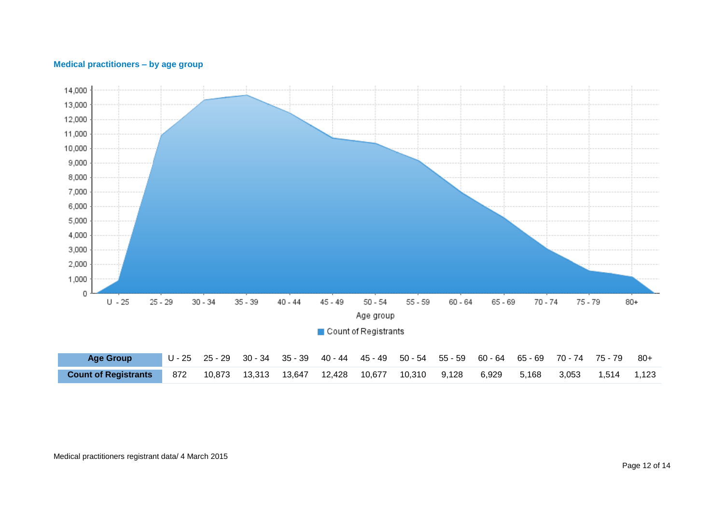<span id="page-11-0"></span>



Medical practitioners registrant data/ 4 March 2015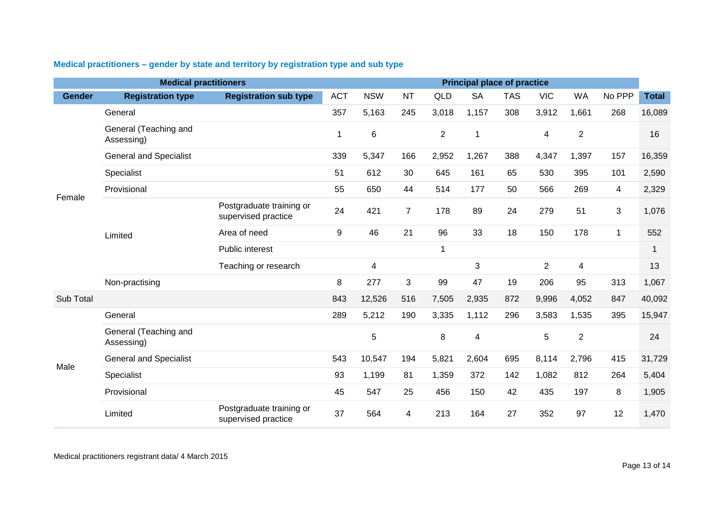|               | <b>Medical practitioners</b>        |                                                 | <b>Principal place of practice</b> |            |                |                |              |            |                |                  |             |              |  |
|---------------|-------------------------------------|-------------------------------------------------|------------------------------------|------------|----------------|----------------|--------------|------------|----------------|------------------|-------------|--------------|--|
| <b>Gender</b> | <b>Registration type</b>            | <b>Registration sub type</b>                    | <b>ACT</b>                         | <b>NSW</b> | <b>NT</b>      | QLD            | <b>SA</b>    | <b>TAS</b> | <b>VIC</b>     | <b>WA</b>        | No PPP      | <b>Total</b> |  |
|               | General                             |                                                 | 357                                | 5,163      | 245            | 3,018          | 1,157        | 308        | 3,912          | 1,661            | 268         | 16,089       |  |
|               | General (Teaching and<br>Assessing) |                                                 |                                    | 6          |                | $\overline{2}$ | $\mathbf{1}$ |            | 4              | $\boldsymbol{2}$ |             | 16           |  |
|               | <b>General and Specialist</b>       |                                                 | 339                                | 5,347      | 166            | 2,952          | 1,267        | 388        | 4,347          | 1,397            | 157         | 16,359       |  |
|               | Specialist                          |                                                 | 51                                 | 612        | 30             | 645            | 161          | 65         | 530            | 395              | 101         | 2,590        |  |
| Female        | Provisional                         |                                                 | 55                                 | 650        | 44             | 514            | 177          | 50         | 566            | 269              | 4           | 2,329        |  |
|               |                                     | Postgraduate training or<br>supervised practice | 24                                 | 421        | $\overline{7}$ | 178            | 89           | 24         | 279            | 51               | 3           | 1,076        |  |
|               | Limited                             | Area of need                                    | 9                                  | 46         | 21             | 96             | 33           | 18         | 150            | 178              | $\mathbf 1$ | 552          |  |
|               |                                     | Public interest                                 |                                    |            |                | 1              |              |            |                |                  |             | 1            |  |
|               |                                     | Teaching or research                            |                                    | 4          |                |                | 3            |            | $\overline{2}$ | $\overline{4}$   |             | 13           |  |
|               | Non-practising                      |                                                 | 8                                  | 277        | 3              | 99             | 47           | 19         | 206            | 95               | 313         | 1,067        |  |
| Sub Total     |                                     |                                                 | 843                                | 12,526     | 516            | 7,505          | 2,935        | 872        | 9,996          | 4,052            | 847         | 40,092       |  |
|               | General                             |                                                 | 289                                | 5,212      | 190            | 3,335          | 1,112        | 296        | 3,583          | 1,535            | 395         | 15,947       |  |
|               | General (Teaching and<br>Assessing) |                                                 |                                    | 5          |                | 8              | 4            |            | 5              | $\overline{2}$   |             | 24           |  |
| Male          | <b>General and Specialist</b>       |                                                 | 543                                | 10,547     | 194            | 5,821          | 2,604        | 695        | 8,114          | 2,796            | 415         | 31,729       |  |
|               | Specialist                          |                                                 | 93                                 | 1,199      | 81             | 1,359          | 372          | 142        | 1,082          | 812              | 264         | 5,404        |  |
|               | Provisional                         |                                                 | 45                                 | 547        | 25             | 456            | 150          | 42         | 435            | 197              | 8           | 1,905        |  |
|               | Limited                             | Postgraduate training or<br>supervised practice | 37                                 | 564        | 4              | 213            | 164          | 27         | 352            | 97               | 12          | 1,470        |  |

# <span id="page-12-0"></span>**Medical practitioners – gender by state and territory by registration type and sub type**